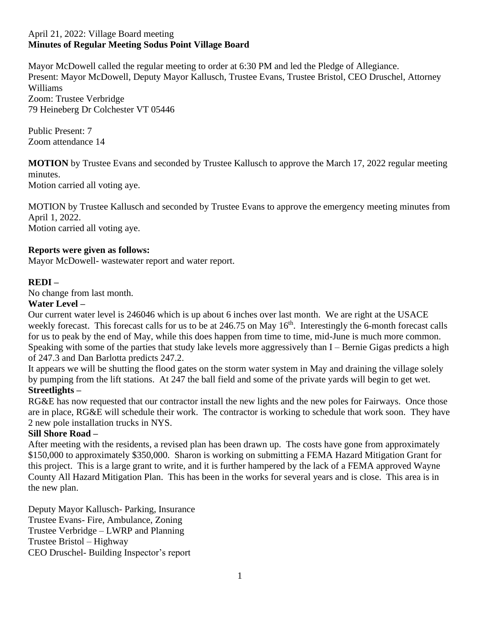#### April 21, 2022: Village Board meeting **Minutes of Regular Meeting Sodus Point Village Board**

Mayor McDowell called the regular meeting to order at 6:30 PM and led the Pledge of Allegiance. Present: Mayor McDowell, Deputy Mayor Kallusch, Trustee Evans, Trustee Bristol, CEO Druschel, Attorney Williams Zoom: Trustee Verbridge 79 Heineberg Dr Colchester VT 05446

Public Present: 7 Zoom attendance 14

**MOTION** by Trustee Evans and seconded by Trustee Kallusch to approve the March 17, 2022 regular meeting minutes.

Motion carried all voting aye.

MOTION by Trustee Kallusch and seconded by Trustee Evans to approve the emergency meeting minutes from April 1, 2022. Motion carried all voting aye.

## **Reports were given as follows:**

Mayor McDowell- wastewater report and water report.

## **REDI –**

No change from last month.

### **Water Level –**

Our current water level is 246046 which is up about 6 inches over last month. We are right at the USACE weekly forecast. This forecast calls for us to be at  $246.75$  on May  $16<sup>th</sup>$ . Interestingly the 6-month forecast calls for us to peak by the end of May, while this does happen from time to time, mid-June is much more common. Speaking with some of the parties that study lake levels more aggressively than I – Bernie Gigas predicts a high of 247.3 and Dan Barlotta predicts 247.2.

It appears we will be shutting the flood gates on the storm water system in May and draining the village solely by pumping from the lift stations. At 247 the ball field and some of the private yards will begin to get wet. **Streetlights –**

RG&E has now requested that our contractor install the new lights and the new poles for Fairways. Once those are in place, RG&E will schedule their work. The contractor is working to schedule that work soon. They have 2 new pole installation trucks in NYS.

### **Sill Shore Road –**

After meeting with the residents, a revised plan has been drawn up. The costs have gone from approximately \$150,000 to approximately \$350,000. Sharon is working on submitting a FEMA Hazard Mitigation Grant for this project. This is a large grant to write, and it is further hampered by the lack of a FEMA approved Wayne County All Hazard Mitigation Plan. This has been in the works for several years and is close. This area is in the new plan.

Deputy Mayor Kallusch- Parking, Insurance Trustee Evans- Fire, Ambulance, Zoning Trustee Verbridge – LWRP and Planning Trustee Bristol – Highway CEO Druschel- Building Inspector's report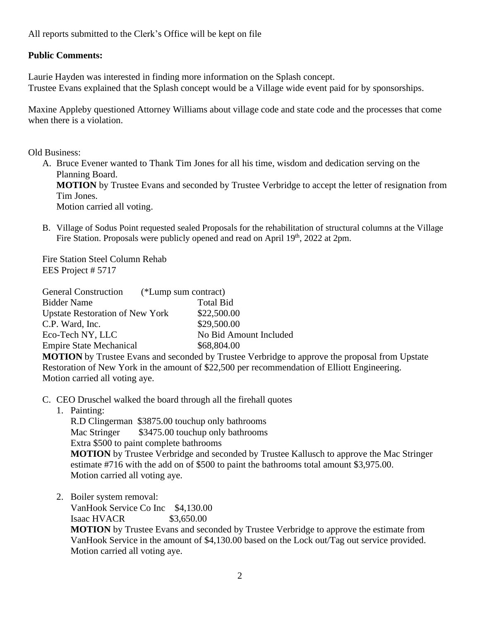# **Public Comments:**

Laurie Hayden was interested in finding more information on the Splash concept. Trustee Evans explained that the Splash concept would be a Village wide event paid for by sponsorships.

Maxine Appleby questioned Attorney Williams about village code and state code and the processes that come when there is a violation.

Old Business:

- A. Bruce Evener wanted to Thank Tim Jones for all his time, wisdom and dedication serving on the Planning Board. **MOTION** by Trustee Evans and seconded by Trustee Verbridge to accept the letter of resignation from Tim Jones. Motion carried all voting.
- B. Village of Sodus Point requested sealed Proposals for the rehabilitation of structural columns at the Village Fire Station. Proposals were publicly opened and read on April 19<sup>th</sup>, 2022 at 2pm.

Fire Station Steel Column Rehab EES Project # 5717

| <b>General Construction</b>            | (*Lump sum contract)                                                            |  |
|----------------------------------------|---------------------------------------------------------------------------------|--|
| <b>Bidder Name</b>                     | <b>Total Bid</b>                                                                |  |
| <b>Upstate Restoration of New York</b> | \$22,500.00                                                                     |  |
| C.P. Ward, Inc.                        | \$29,500.00                                                                     |  |
| Eco-Tech NY, LLC                       | No Bid Amount Included                                                          |  |
| <b>Empire State Mechanical</b>         | \$68,804.00                                                                     |  |
|                                        | <b>MOTION</b> by Tweeter Exercise and accounted by Tweeter <i>Happinghan to</i> |  |

**MOTION** by Trustee Evans and seconded by Trustee Verbridge to approve the proposal from Upstate Restoration of New York in the amount of \$22,500 per recommendation of Elliott Engineering. Motion carried all voting aye.

- C. CEO Druschel walked the board through all the firehall quotes
	- 1. Painting:

R.D Clingerman \$3875.00 touchup only bathrooms Mac Stringer  $$3475.00$  touchup only bathrooms Extra \$500 to paint complete bathrooms **MOTION** by Trustee Verbridge and seconded by Trustee Kallusch to approve the Mac Stringer estimate #716 with the add on of \$500 to paint the bathrooms total amount \$3,975.00. Motion carried all voting aye.

2. Boiler system removal:

VanHook Service Co Inc \$4,130.00 **Isaac HVACR** \$3,650.00 **MOTION** by Trustee Evans and seconded by Trustee Verbridge to approve the estimate from VanHook Service in the amount of \$4,130.00 based on the Lock out/Tag out service provided. Motion carried all voting aye.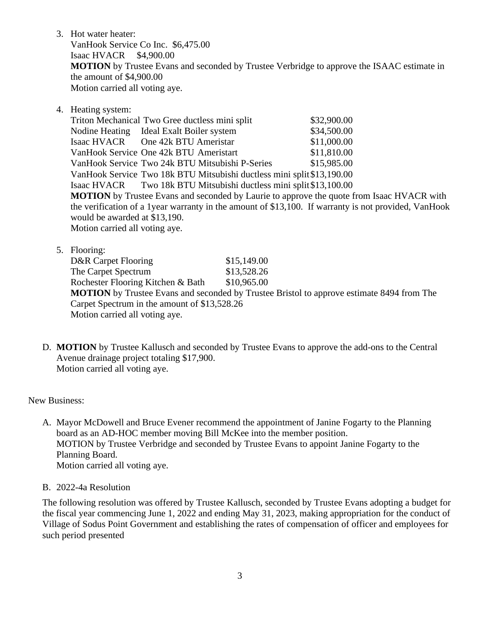3. Hot water heater: VanHook Service Co Inc. \$6,475.00 Isaac HVACR \$4,900.00

**MOTION** by Trustee Evans and seconded by Trustee Verbridge to approve the ISAAC estimate in the amount of \$4,900.00

Motion carried all voting aye.

4. Heating system:

Triton Mechanical Two Gree ductless mini split \$32,900.00 Nodine Heating Ideal Exalt Boiler system  $$34,500.00$ Isaac HVACR One 42k BTU Ameristar \$11,000.00 VanHook Service One 42k BTU Ameristart \$11,810.00 VanHook Service Two 24k BTU Mitsubishi P-Series \$15,985.00 VanHook Service Two 18k BTU Mitsubishi ductless mini split\$13,190.00 Isaac HVACR Two 18k BTU Mitsubishi ductless mini split\$13,100.00 **MOTION** by Trustee Evans and seconded by Laurie to approve the quote from Isaac HVACR with the verification of a 1year warranty in the amount of \$13,100. If warranty is not provided, VanHook would be awarded at \$13,190. Motion carried all voting aye.

- 5. Flooring: D&R Carpet Flooring \$15,149.00 The Carpet Spectrum \$13,528.26 Rochester Flooring Kitchen & Bath \$10,965.00 **MOTION** by Trustee Evans and seconded by Trustee Bristol to approve estimate 8494 from The Carpet Spectrum in the amount of \$13,528.26 Motion carried all voting aye.
- D. **MOTION** by Trustee Kallusch and seconded by Trustee Evans to approve the add-ons to the Central Avenue drainage project totaling \$17,900. Motion carried all voting aye.

New Business:

- A. Mayor McDowell and Bruce Evener recommend the appointment of Janine Fogarty to the Planning board as an AD-HOC member moving Bill McKee into the member position. MOTION by Trustee Verbridge and seconded by Trustee Evans to appoint Janine Fogarty to the Planning Board. Motion carried all voting aye.
- B. 2022-4a Resolution

The following resolution was offered by Trustee Kallusch, seconded by Trustee Evans adopting a budget for the fiscal year commencing June 1, 2022 and ending May 31, 2023, making appropriation for the conduct of Village of Sodus Point Government and establishing the rates of compensation of officer and employees for such period presented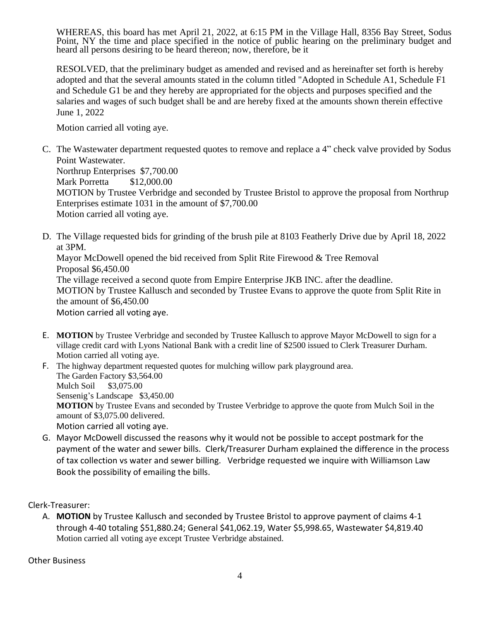WHEREAS, this board has met April 21, 2022, at 6:15 PM in the Village Hall, 8356 Bay Street, Sodus Point, NY the time and place specified in the notice of public hearing on the preliminary budget and heard all persons desiring to be heard thereon; now, therefore, be it

RESOLVED, that the preliminary budget as amended and revised and as hereinafter set forth is hereby adopted and that the several amounts stated in the column titled "Adopted in Schedule A1, Schedule F1 and Schedule G1 be and they hereby are appropriated for the objects and purposes specified and the salaries and wages of such budget shall be and are hereby fixed at the amounts shown therein effective June 1, 2022

Motion carried all voting aye.

C. The Wastewater department requested quotes to remove and replace a 4" check valve provided by Sodus Point Wastewater. Northrup Enterprises \$7,700.00 Mark Porretta \$12,000.00 MOTION by Trustee Verbridge and seconded by Trustee Bristol to approve the proposal from Northrup Enterprises estimate 1031 in the amount of \$7,700.00

Motion carried all voting aye.

D. The Village requested bids for grinding of the brush pile at 8103 Featherly Drive due by April 18, 2022 at 3PM.

Mayor McDowell opened the bid received from Split Rite Firewood & Tree Removal Proposal \$6,450.00

The village received a second quote from Empire Enterprise JKB INC. after the deadline. MOTION by Trustee Kallusch and seconded by Trustee Evans to approve the quote from Split Rite in the amount of \$6,450.00 Motion carried all voting aye.

E. **MOTION** by Trustee Verbridge and seconded by Trustee Kallusch to approve Mayor McDowell to sign for a village credit card with Lyons National Bank with a credit line of \$2500 issued to Clerk Treasurer Durham.

Motion carried all voting aye. F. The highway department requested quotes for mulching willow park playground area. The Garden Factory \$3,564.00 Mulch Soil \$3,075.00 Sensenig's Landscape \$3,450.00 **MOTION** by Trustee Evans and seconded by Trustee Verbridge to approve the quote from Mulch Soil in the amount of \$3,075.00 delivered. Motion carried all voting aye.

G. Mayor McDowell discussed the reasons why it would not be possible to accept postmark for the payment of the water and sewer bills. Clerk/Treasurer Durham explained the difference in the process of tax collection vs water and sewer billing. Verbridge requested we inquire with Williamson Law Book the possibility of emailing the bills.

Clerk-Treasurer:

A. **MOTION** by Trustee Kallusch and seconded by Trustee Bristol to approve payment of claims 4-1 through 4-40 totaling \$51,880.24; General \$41,062.19, Water \$5,998.65, Wastewater \$4,819.40 Motion carried all voting aye except Trustee Verbridge abstained.

Other Business